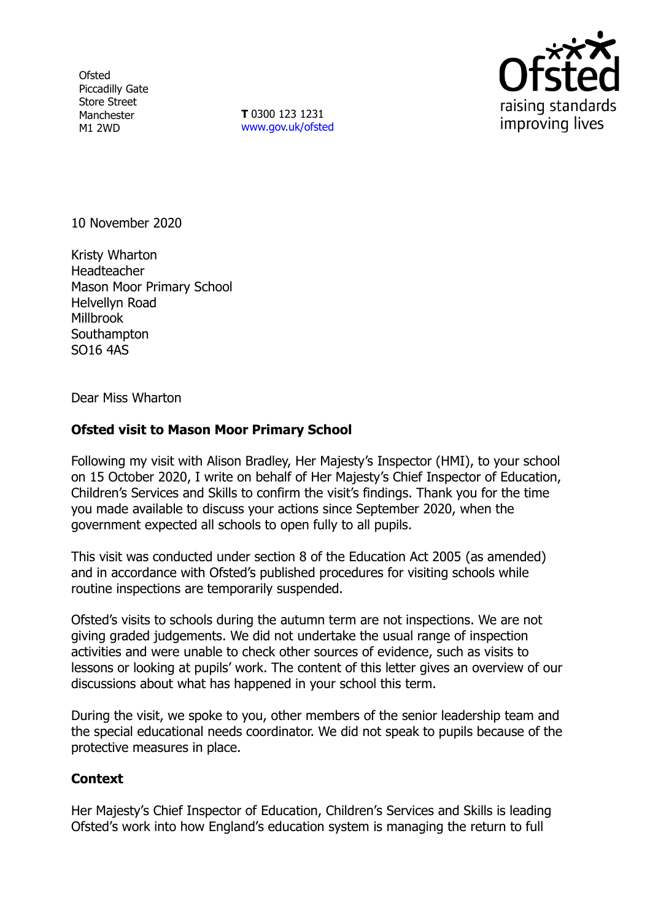**Ofsted** Piccadilly Gate Store Street Manchester M1 2WD

**T** 0300 123 1231 [www.gov.uk/ofsted](http://www.gov.uk/ofsted)



10 November 2020

Kristy Wharton **Headteacher** Mason Moor Primary School Helvellyn Road Millbrook **Southampton** SO16 4AS

Dear Miss Wharton

## **Ofsted visit to Mason Moor Primary School**

Following my visit with Alison Bradley, Her Majesty's Inspector (HMI), to your school on 15 October 2020, I write on behalf of Her Majesty's Chief Inspector of Education, Children's Services and Skills to confirm the visit's findings. Thank you for the time you made available to discuss your actions since September 2020, when the government expected all schools to open fully to all pupils.

This visit was conducted under section 8 of the Education Act 2005 (as amended) and in accordance with Ofsted's published procedures for visiting schools while routine inspections are temporarily suspended.

Ofsted's visits to schools during the autumn term are not inspections. We are not giving graded judgements. We did not undertake the usual range of inspection activities and were unable to check other sources of evidence, such as visits to lessons or looking at pupils' work. The content of this letter gives an overview of our discussions about what has happened in your school this term.

During the visit, we spoke to you, other members of the senior leadership team and the special educational needs coordinator. We did not speak to pupils because of the protective measures in place.

## **Context**

Her Majesty's Chief Inspector of Education, Children's Services and Skills is leading Ofsted's work into how England's education system is managing the return to full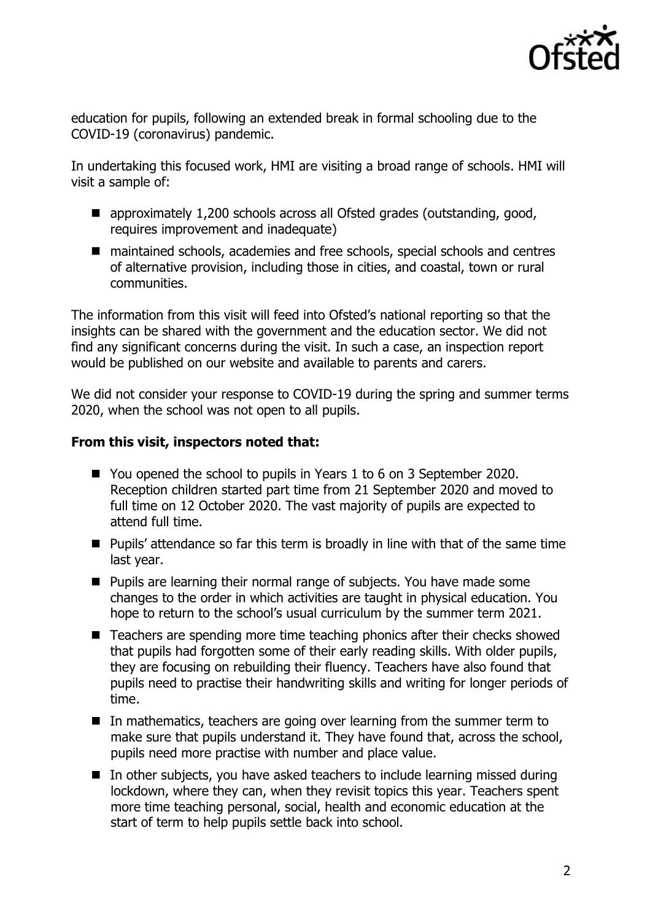

education for pupils, following an extended break in formal schooling due to the COVID-19 (coronavirus) pandemic.

In undertaking this focused work, HMI are visiting a broad range of schools. HMI will visit a sample of:

- approximately 1,200 schools across all Ofsted grades (outstanding, good, requires improvement and inadequate)
- maintained schools, academies and free schools, special schools and centres of alternative provision, including those in cities, and coastal, town or rural communities.

The information from this visit will feed into Ofsted's national reporting so that the insights can be shared with the government and the education sector. We did not find any significant concerns during the visit. In such a case, an inspection report would be published on our website and available to parents and carers.

We did not consider your response to COVID-19 during the spring and summer terms 2020, when the school was not open to all pupils.

## **From this visit, inspectors noted that:**

- You opened the school to pupils in Years 1 to 6 on 3 September 2020. Reception children started part time from 21 September 2020 and moved to full time on 12 October 2020. The vast majority of pupils are expected to attend full time.
- Pupils' attendance so far this term is broadly in line with that of the same time last year.
- Pupils are learning their normal range of subjects. You have made some changes to the order in which activities are taught in physical education. You hope to return to the school's usual curriculum by the summer term 2021.
- Teachers are spending more time teaching phonics after their checks showed that pupils had forgotten some of their early reading skills. With older pupils, they are focusing on rebuilding their fluency. Teachers have also found that pupils need to practise their handwriting skills and writing for longer periods of time.
- $\blacksquare$  In mathematics, teachers are going over learning from the summer term to make sure that pupils understand it. They have found that, across the school, pupils need more practise with number and place value.
- In other subjects, you have asked teachers to include learning missed during lockdown, where they can, when they revisit topics this year. Teachers spent more time teaching personal, social, health and economic education at the start of term to help pupils settle back into school.